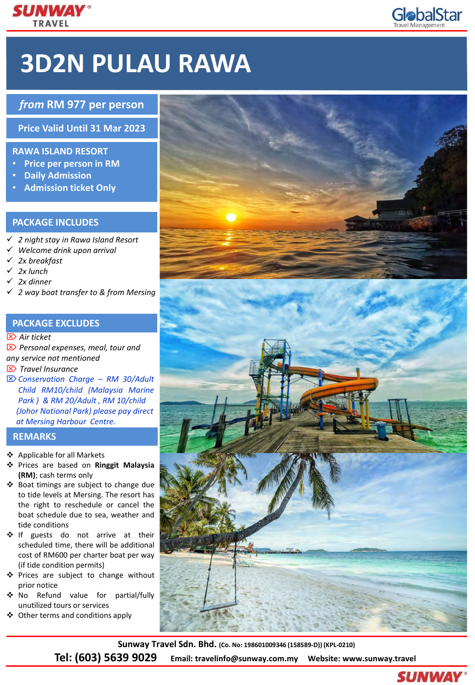

# **3D2N PULAU RAWA**

# *from* **RM 977 per person**

**Price Valid Until 31 Mar 2023**

# **RAWA ISLAND RESORT**

- **Price per person in RM**
- **Daily Admission**
- **Admission ticket Only**

# **PACKAGE INCLUDES**

- ✓ *2 night stay in Rawa Island Resort*
- ✓ *Welcome drink upon arrival*
- ✓ *2x breakfast*
- ✓ *2x lunch*
- ✓ *2x dinner*
- ✓ *2 way boat transfer to & from Mersing*

### **PACKAGE EXCLUDES**

#### *Air ticket*

 *Personal expenses, meal, tour and any service not mentioned Travel Insurance Conservation Charge – RM 30/Adult Child RM10/child (Malaysia Marine Park ) & RM 20/Adult , RM 10/child (Johor National Park) please pay direct at Mersing Harbour Centre.*

#### **REMARKS**

- ❖ Applicable for all Markets
- ❖ Prices are based on **Ringgit Malaysia (RM)**; cash terms only
- ❖ Boat timings are subject to change due to tide levels at Mersing. The resort has the right to reschedule or cancel the boat schedule due to sea, weather and tide conditions
- ❖ If guests do not arrive at their scheduled time, there will be additional cost of RM600 per charter boat per way (if tide condition permits)
- ❖ Prices are subject to change without prior notice
- ❖ No Refund value for partial/fully unutilized tours or services
- ❖ Other terms and conditions apply





**Sunway Travel Sdn. Bhd. (Co. No: 198601009346 (158589-D)) (KPL-0210)**

**Tel: (603) 5639 9029 Email: travelinfo@sunway.com.my Website: www.sunway.travel** 



**GlobalStar**